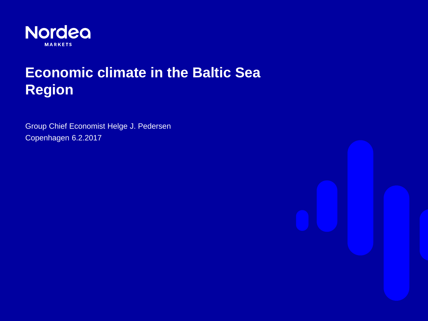

# **Economic climate in the Baltic Sea Region**

Group Chief Economist Helge J. Pedersen Copenhagen 6.2.2017

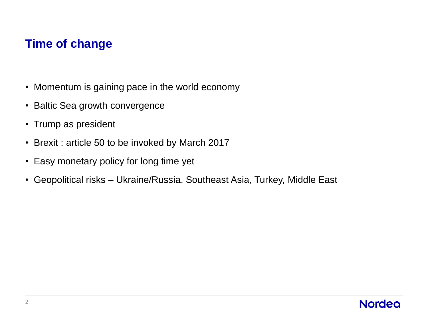# **Time of change**

- Momentum is gaining pace in the world economy
- Baltic Sea growth convergence
- Trump as president
- Brexit : article 50 to be invoked by March 2017
- Easy monetary policy for long time yet
- Geopolitical risks Ukraine/Russia, Southeast Asia, Turkey, Middle East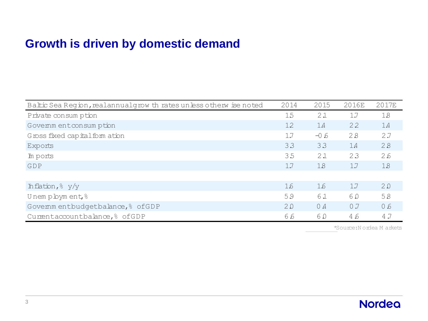# **Growth is driven by domestic demand**

| Baltic Sea Region, realannual grow th rates unless otherw ise noted | 2014                    | 2015   | 2016E | 2017E |
|---------------------------------------------------------------------|-------------------------|--------|-------|-------|
| Private consum ption                                                | 15                      | 21     | 1.7   | 18    |
| Govemment consumption                                               | 12                      | 14     | 22    | 1.4   |
| Gross fixed capital form ation                                      | 17                      | $-0.6$ | 28    | 2.7   |
| Exports                                                             | 33                      | 33     | 1.4   | 28    |
| In ports                                                            | 35                      | 21     | 23    | 2.6   |
| GDP                                                                 | 17                      | 18     | 1.7   | 18    |
|                                                                     |                         |        |       |       |
| Inflation, & y/y                                                    | 1.6                     | 16     | 1.7   | 20    |
| Unemployment <sup>8</sup>                                           | 59                      | 61     | 60    | 58    |
| Govemmentbudgetbalance, & ofGDP                                     | 20                      | 0.4    | 0.7   | 0.6   |
| Cumentaccountbalance, & ofGDP                                       | 6.6                     | 60     | 4.6   | 4.7   |
|                                                                     | *Source: Nordea Markets |        |       |       |

\*Source: N ordea M arkets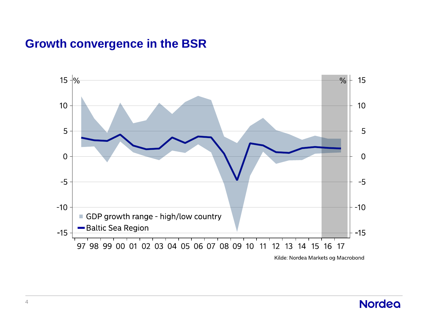# **Growth convergence in the BSR**

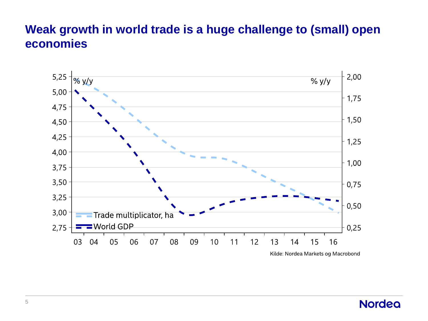# **Weak growth in world trade is a huge challenge to (small) open economies**

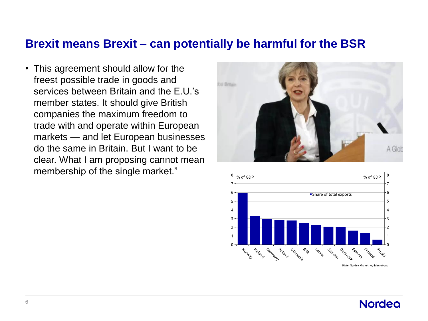#### **Brexit means Brexit – can potentially be harmful for the BSR**

• This agreement should allow for the freest possible trade in goods and services between Britain and the F U's member states. It should give British companies the maximum freedom to trade with and operate within European markets — and let European businesses do the same in Britain. But I want to be clear. What I am proposing cannot mean membership of the single market."



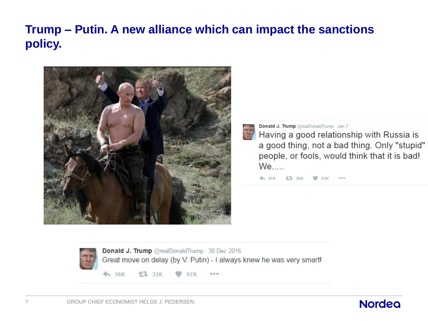# **Trump – Putin. A new alliance which can impact the sanctions policy.**



Donald J. Trump @realDonaldTrump · Jan 7

Having a good relationship with Russia is a good thing, not a bad thing. Only "stupid" people, or fools, would think that it is bad!  $We...$ 

← 26K <sup>+</sup> 28K ♥ 93K



Donald J. Trump @realDonaldTrump 30 Dec 2016 Great move on delay (by V. Putin) - I always knew he was very smart!

 $\blacklozenge$  36K **17** 33K

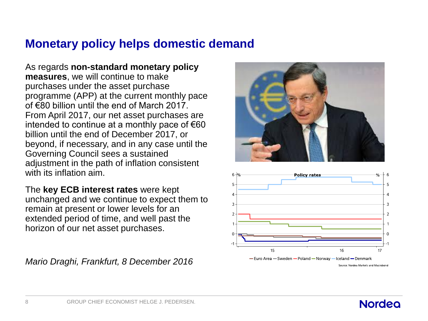# **Monetary policy helps domestic demand**

As regards **non-standard monetary policy measures**, we will continue to make purchases under the asset purchase programme (APP) at the current monthly pace of  $\epsilon$ 80 billion until the end of March 2017. From April 2017, our net asset purchases are intended to continue at a monthly pace of  $\epsilon$ 60 billion until the end of December 2017, or beyond, if necessary, and in any case until the Governing Council sees a sustained adjustment in the path of inflation consistent with its inflation aim.

The **key ECB interest rates** were kept unchanged and we continue to expect them to remain at present or lower levels for an extended period of time, and well past the horizon of our net asset purchases.

*Mario Draghi, Frankfurt, 8 December 2016*



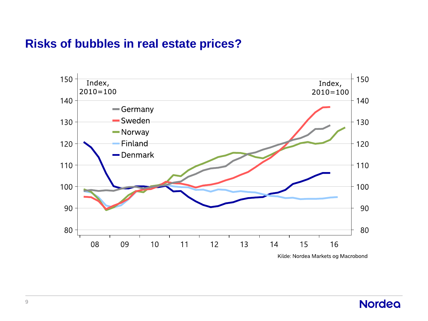### **Risks of bubbles in real estate prices?**

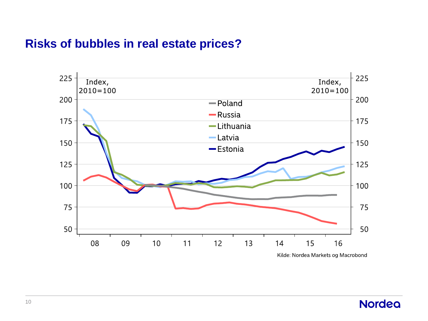### **Risks of bubbles in real estate prices?**

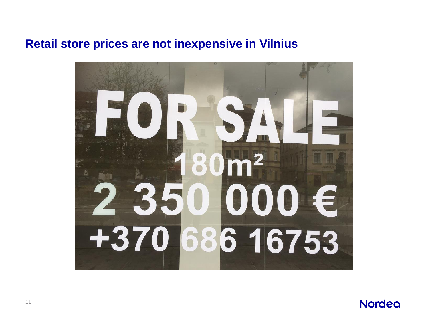## **Retail store prices are not inexpensive in Vilnius**



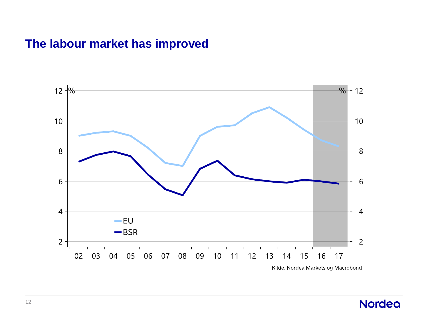# **The labour market has improved**

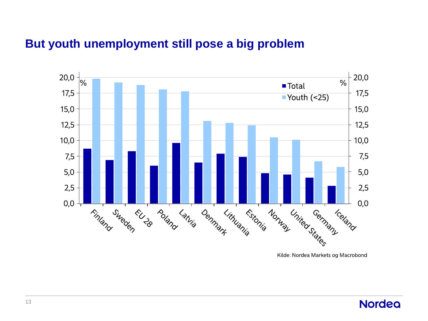### **But youth unemployment still pose a big problem**



Kilde: Nordea Markets og Macrobond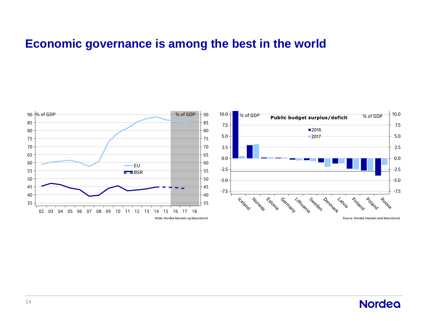# **Economic governance is among the best in the world**

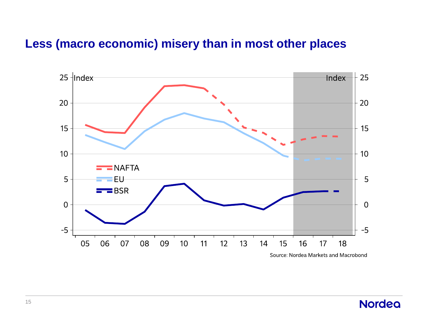# **Less (macro economic) misery than in most other places**

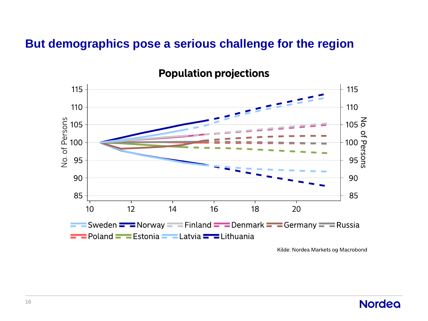### **But demographics pose a serious challenge for the region**



**Population projections** 

Kilde: Nordea Markets og Macrobond